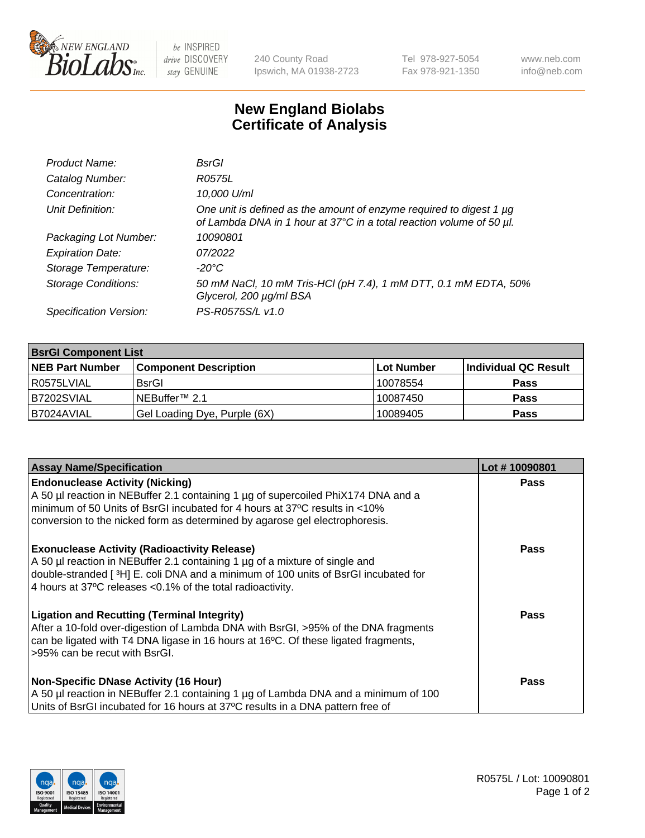

 $be$  INSPIRED drive DISCOVERY stay GENUINE

240 County Road Ipswich, MA 01938-2723 Tel 978-927-5054 Fax 978-921-1350 www.neb.com info@neb.com

## **New England Biolabs Certificate of Analysis**

| Product Name:              | BsrGl                                                                                                                                       |
|----------------------------|---------------------------------------------------------------------------------------------------------------------------------------------|
| Catalog Number:            | R0575L                                                                                                                                      |
| Concentration:             | 10,000 U/ml                                                                                                                                 |
| Unit Definition:           | One unit is defined as the amount of enzyme required to digest 1 µg<br>of Lambda DNA in 1 hour at 37°C in a total reaction volume of 50 µl. |
| Packaging Lot Number:      | 10090801                                                                                                                                    |
| <b>Expiration Date:</b>    | 07/2022                                                                                                                                     |
| Storage Temperature:       | -20°C                                                                                                                                       |
| <b>Storage Conditions:</b> | 50 mM NaCl, 10 mM Tris-HCl (pH 7.4), 1 mM DTT, 0.1 mM EDTA, 50%<br>Glycerol, 200 µg/ml BSA                                                  |
| Specification Version:     | PS-R0575S/L v1.0                                                                                                                            |

| <b>BsrGI Component List</b> |                              |            |                      |  |  |
|-----------------------------|------------------------------|------------|----------------------|--|--|
| <b>NEB Part Number</b>      | <b>Component Description</b> | Lot Number | Individual QC Result |  |  |
| R0575LVIAL                  | <b>BsrGI</b>                 | 10078554   | <b>Pass</b>          |  |  |
| B7202SVIAL                  | INEBuffer™ 2.1               | 10087450   | <b>Pass</b>          |  |  |
| B7024AVIAL                  | Gel Loading Dye, Purple (6X) | 10089405   | <b>Pass</b>          |  |  |

| <b>Assay Name/Specification</b>                                                                                                                                                    | Lot #10090801 |
|------------------------------------------------------------------------------------------------------------------------------------------------------------------------------------|---------------|
| <b>Endonuclease Activity (Nicking)</b>                                                                                                                                             | <b>Pass</b>   |
| A 50 µl reaction in NEBuffer 2.1 containing 1 µg of supercoiled PhiX174 DNA and a<br>minimum of 50 Units of BsrGI incubated for 4 hours at 37°C results in <10%                    |               |
| conversion to the nicked form as determined by agarose gel electrophoresis.                                                                                                        |               |
| <b>Exonuclease Activity (Radioactivity Release)</b>                                                                                                                                | Pass          |
| A 50 µl reaction in NEBuffer 2.1 containing 1 µg of a mixture of single and                                                                                                        |               |
| double-stranded [3H] E. coli DNA and a minimum of 100 units of BsrGI incubated for<br>4 hours at 37°C releases < 0.1% of the total radioactivity.                                  |               |
|                                                                                                                                                                                    |               |
| <b>Ligation and Recutting (Terminal Integrity)</b>                                                                                                                                 | Pass          |
| After a 10-fold over-digestion of Lambda DNA with BsrGI, >95% of the DNA fragments<br>can be ligated with T4 DNA ligase in 16 hours at 16 $\degree$ C. Of these ligated fragments, |               |
| l >95% can be recut with BsrGI.                                                                                                                                                    |               |
|                                                                                                                                                                                    |               |
| <b>Non-Specific DNase Activity (16 Hour)</b>                                                                                                                                       | <b>Pass</b>   |
| A 50 µl reaction in NEBuffer 2.1 containing 1 µg of Lambda DNA and a minimum of 100                                                                                                |               |
| Units of BsrGI incubated for 16 hours at 37°C results in a DNA pattern free of                                                                                                     |               |